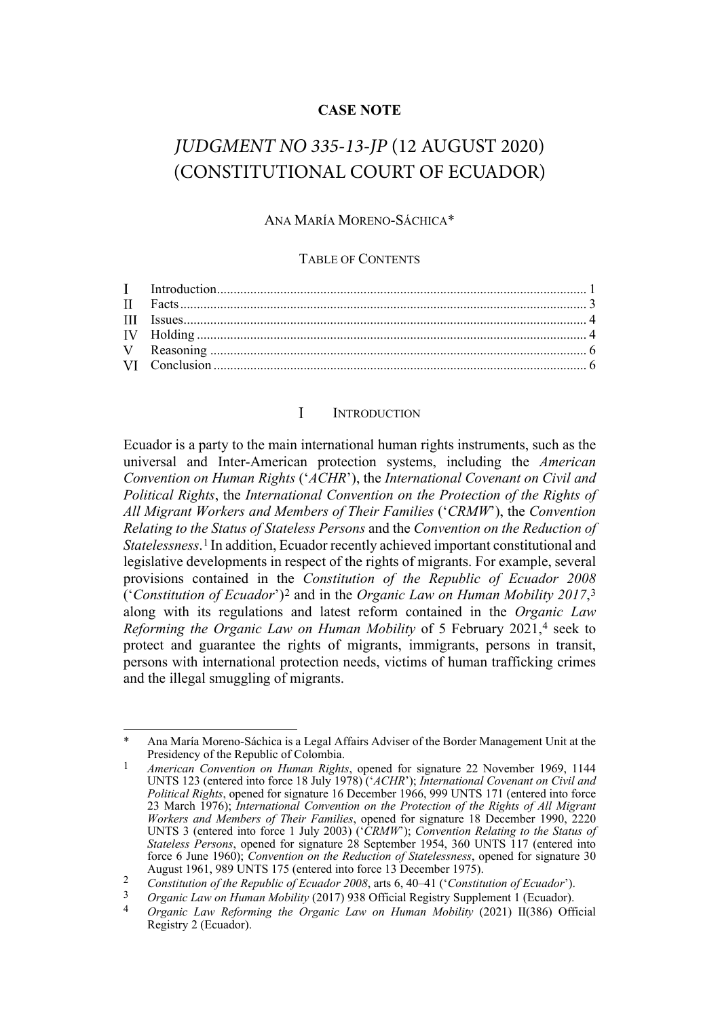## **CASE NOTE**

# *JUDGMENT NO 335-13-JP* (12 AUGUST 2020) (CONSTITUTIONAL COURT OF ECUADOR)

### ANA MARÍA MORENO-SÁCHICA\*

### TABLE OF CONTENTS

#### <span id="page-0-6"></span><span id="page-0-5"></span> $\mathbf{I}$ **INTRODUCTION**

<span id="page-0-0"></span>Ecuador is a party to the main international human rights instruments, such as the universal and Inter-American protection systems, including the *American Convention on Human Rights* ('*ACHR*'), the *International Covenant on Civil and Political Rights*, the *International Convention on the Protection of the Rights of All Migrant Workers and Members of Their Families* ('*CRMW*'), the *Convention Relating to the Status of Stateless Persons* and the *Convention on the Reduction of Statelessness*.[1](#page-0-1) In addition, Ecuador recently achieved important constitutional and legislative developments in respect of the rights of migrants. For example, several provisions contained in the *Constitution of the Republic of Ecuador 2008*  ('*Constitution of Ecuador*')[2](#page-0-2) and in the *Organic Law on Human Mobility 2017*,[3](#page-0-3) along with its regulations and latest reform contained in the *Organic Law Reforming the Organic Law on Human Mobility* of 5 February 2021,[4](#page-0-4) seek to protect and guarantee the rights of migrants, immigrants, persons in transit, persons with international protection needs, victims of human trafficking crimes and the illegal smuggling of migrants.

<span id="page-0-1"></span>Ana María Moreno-Sáchica is a Legal Affairs Adviser of the Border Management Unit at the Presidency of the Republic of Colombia.

<sup>1</sup> *American Convention on Human Rights*, opened for signature 22 November 1969, 1144 UNTS 123 (entered into force 18 July 1978) ('*ACHR*'); *International Covenant on Civil and Political Rights*, opened for signature 16 December 1966, 999 UNTS 171 (entered into force 23 March 1976); *International Convention on the Protection of the Rights of All Migrant Workers and Members of Their Families*, opened for signature 18 December 1990, 2220 UNTS 3 (entered into force 1 July 2003) ('*CRMW*'); *Convention Relating to the Status of Stateless Persons*, opened for signature 28 September 1954, 360 UNTS 117 (entered into force 6 June 1960); *Convention on the Reduction of Statelessness*, opened for signature 30 August 1961, 989 UNTS 175 (entered into force 13 December 1975).

<span id="page-0-2"></span><sup>2</sup> *Constitution of the Republic of Ecuador 2008*, arts 6, 40–41 ('*Constitution of Ecuador*').

<span id="page-0-4"></span><span id="page-0-3"></span><sup>3</sup> *Organic Law on Human Mobility* (2017) 938 Official Registry Supplement 1 (Ecuador).

<sup>4</sup> *Organic Law Reforming the Organic Law on Human Mobility* (2021) II(386) Official Registry 2 (Ecuador).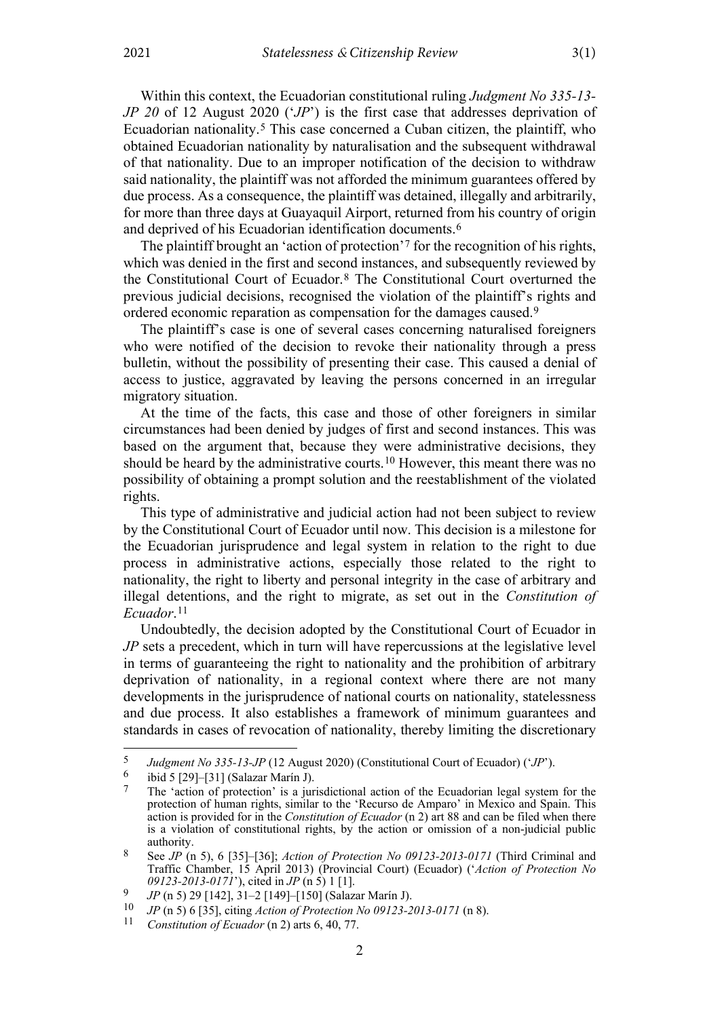<span id="page-1-0"></span>Within this context, the Ecuadorian constitutional ruling *Judgment No 335-13- JP 20* of 12 August 2020 ('*JP*') is the first case that addresses deprivation of Ecuadorian nationality.[5](#page-1-2) This case concerned a Cuban citizen, the plaintiff, who obtained Ecuadorian nationality by naturalisation and the subsequent withdrawal of that nationality. Due to an improper notification of the decision to withdraw said nationality, the plaintiff was not afforded the minimum guarantees offered by due process. As a consequence, the plaintiff was detained, illegally and arbitrarily, for more than three days at Guayaquil Airport, returned from his country of origin and deprived of his Ecuadorian identification documents.<sup>[6](#page-1-3)</sup>

<span id="page-1-1"></span>The plaintiff brought an 'action of protection'[7](#page-1-4) for the recognition of his rights, which was denied in the first and second instances, and subsequently reviewed by the Constitutional Court of Ecuador.[8](#page-1-5) The Constitutional Court overturned the previous judicial decisions, recognised the violation of the plaintiff's rights and ordered economic reparation as compensation for the damages caused.[9](#page-1-6)

The plaintiff's case is one of several cases concerning naturalised foreigners who were notified of the decision to revoke their nationality through a press bulletin, without the possibility of presenting their case. This caused a denial of access to justice, aggravated by leaving the persons concerned in an irregular migratory situation.

At the time of the facts, this case and those of other foreigners in similar circumstances had been denied by judges of first and second instances. This was based on the argument that, because they were administrative decisions, they should be heard by the administrative courts.[10](#page-1-7) However, this meant there was no possibility of obtaining a prompt solution and the reestablishment of the violated rights.

This type of administrative and judicial action had not been subject to review by the Constitutional Court of Ecuador until now. This decision is a milestone for the Ecuadorian jurisprudence and legal system in relation to the right to due process in administrative actions, especially those related to the right to nationality, the right to liberty and personal integrity in the case of arbitrary and illegal detentions, and the right to migrate, as set out in the *Constitution of Ecuador*.[11](#page-1-8)

Undoubtedly, the decision adopted by the Constitutional Court of Ecuador in *JP* sets a precedent, which in turn will have repercussions at the legislative level in terms of guaranteeing the right to nationality and the prohibition of arbitrary deprivation of nationality, in a regional context where there are not many developments in the jurisprudence of national courts on nationality, statelessness and due process. It also establishes a framework of minimum guarantees and standards in cases of revocation of nationality, thereby limiting the discretionary

<sup>5</sup> *Judgment No 335-13-JP* (12 August 2020) (Constitutional Court of Ecuador) ('*JP*').

<span id="page-1-4"></span><span id="page-1-3"></span><span id="page-1-2"></span><sup>&</sup>lt;sup>6</sup> ibid 5 [29]–[31] (Salazar Marín J).

The 'action of protection' is a jurisdictional action of the Ecuadorian legal system for the protection of human rights, similar to the 'Recurso de Amparo' in Mexico and Spain. This action is provided for in the *Constitution of Ecuador* (n [2\)](#page-0-5) art 88 and can be filed when there is a violation of constitutional rights, by the action or omission of a non-judicial public authority.

<span id="page-1-5"></span><sup>8</sup> See *JP* (n 5), 6 [35]–[36]; *Action of Protection No 09123-2013-0171* (Third Criminal and Traffic Chamber, 15 April 2013) (Provincial Court) (Ecuador) ('*Action of Protection No 09123-2013-0171*'), cited in *JP* (n [5\)](#page-1-0) 1 [1].

<span id="page-1-6"></span><sup>9</sup> *JP* (n [5\)](#page-1-0) 29 [142], 31–2 [149]–[150] (Salazar Marín J).

<span id="page-1-7"></span><sup>10</sup> *JP* (n [5\)](#page-1-0) 6 [35], citing *Action of Protection No 09123-2013-0171* (n [8\)](#page-1-1).

<span id="page-1-8"></span>*Constitution of Ecuador* (n [2\)](#page-0-5) arts 6, 40, 77.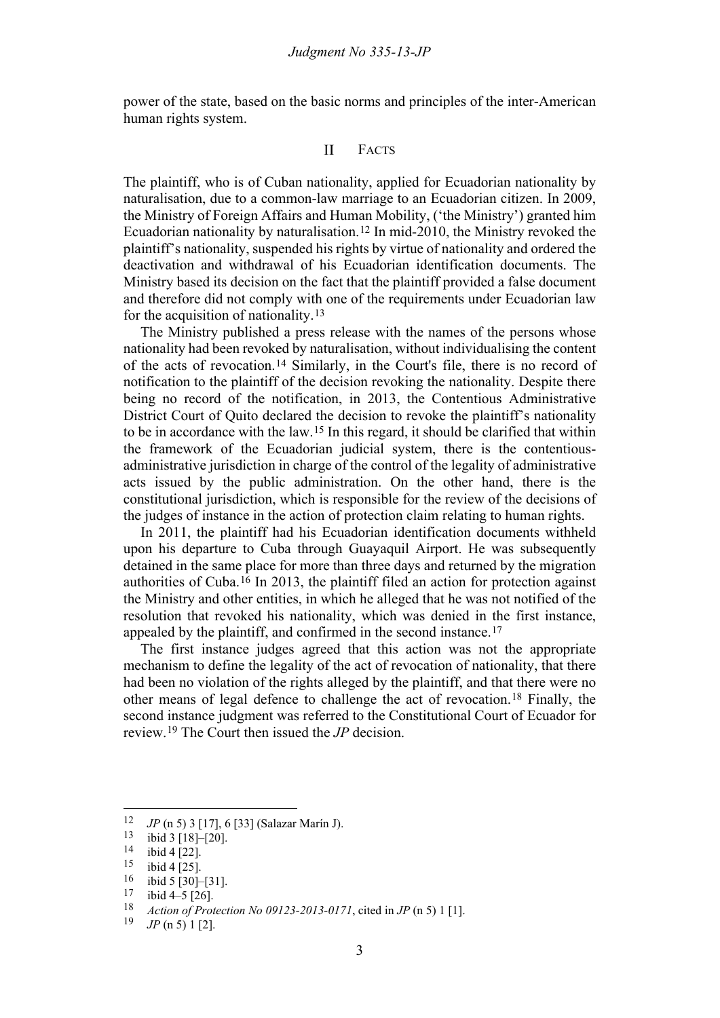<span id="page-2-0"></span>power of the state, based on the basic norms and principles of the inter-American human rights system.

#### $\mathbf{I}$ FACTS

The plaintiff, who is of Cuban nationality, applied for Ecuadorian nationality by naturalisation, due to a common-law marriage to an Ecuadorian citizen. In 2009, the Ministry of Foreign Affairs and Human Mobility, ('the Ministry') granted him Ecuadorian nationality by naturalisation.[12](#page-2-1) In mid-2010, the Ministry revoked the plaintiff's nationality, suspended his rights by virtue of nationality and ordered the deactivation and withdrawal of his Ecuadorian identification documents. The Ministry based its decision on the fact that the plaintiff provided a false document and therefore did not comply with one of the requirements under Ecuadorian law for the acquisition of nationality.[13](#page-2-2)

The Ministry published a press release with the names of the persons whose nationality had been revoked by naturalisation, without individualising the content of the acts of revocation.[14](#page-2-3) Similarly, in the Court's file, there is no record of notification to the plaintiff of the decision revoking the nationality. Despite there being no record of the notification, in 2013, the Contentious Administrative District Court of Quito declared the decision to revoke the plaintiff's nationality to be in accordance with the law.[15](#page-2-4) In this regard, it should be clarified that within the framework of the Ecuadorian judicial system, there is the contentiousadministrative jurisdiction in charge of the control of the legality of administrative acts issued by the public administration. On the other hand, there is the constitutional jurisdiction, which is responsible for the review of the decisions of the judges of instance in the action of protection claim relating to human rights.

In 2011, the plaintiff had his Ecuadorian identification documents withheld upon his departure to Cuba through Guayaquil Airport. He was subsequently detained in the same place for more than three days and returned by the migration authorities of Cuba.[16](#page-2-5) In 2013, the plaintiff filed an action for protection against the Ministry and other entities, in which he alleged that he was not notified of the resolution that revoked his nationality, which was denied in the first instance, appealed by the plaintiff, and confirmed in the second instance.[17](#page-2-6)

The first instance judges agreed that this action was not the appropriate mechanism to define the legality of the act of revocation of nationality, that there had been no violation of the rights alleged by the plaintiff, and that there were no other means of legal defence to challenge the act of revocation.[18](#page-2-7) Finally, the second instance judgment was referred to the Constitutional Court of Ecuador for review.[19](#page-2-8) The Court then issued the *JP* decision.

<span id="page-2-2"></span><span id="page-2-1"></span><sup>&</sup>lt;sup>12</sup> *JP* (n [5\)](#page-1-0) 3 [17], 6 [33] (Salazar Marín J).<br><sup>13</sup> ibid 3 [18]–[20]

ibid 3 [18]-[20].

<span id="page-2-4"></span><span id="page-2-3"></span> $\frac{14}{15}$  ibid 4 [22].

 $\frac{15}{16}$  ibid 4 [25].

<span id="page-2-5"></span> $\frac{16}{17}$  ibid 5 [30]–[31].

<span id="page-2-7"></span><span id="page-2-6"></span> $\frac{17}{18}$  ibid 4–5 [26].

<span id="page-2-8"></span><sup>18</sup> *Action of Protection No 09123-2013-0171*, cited in *JP* (n [5\)](#page-1-0) 1 [1].<br>19 *IP* (n 5) 1 [2]

<sup>19</sup> *JP* (n 5) 1 [2].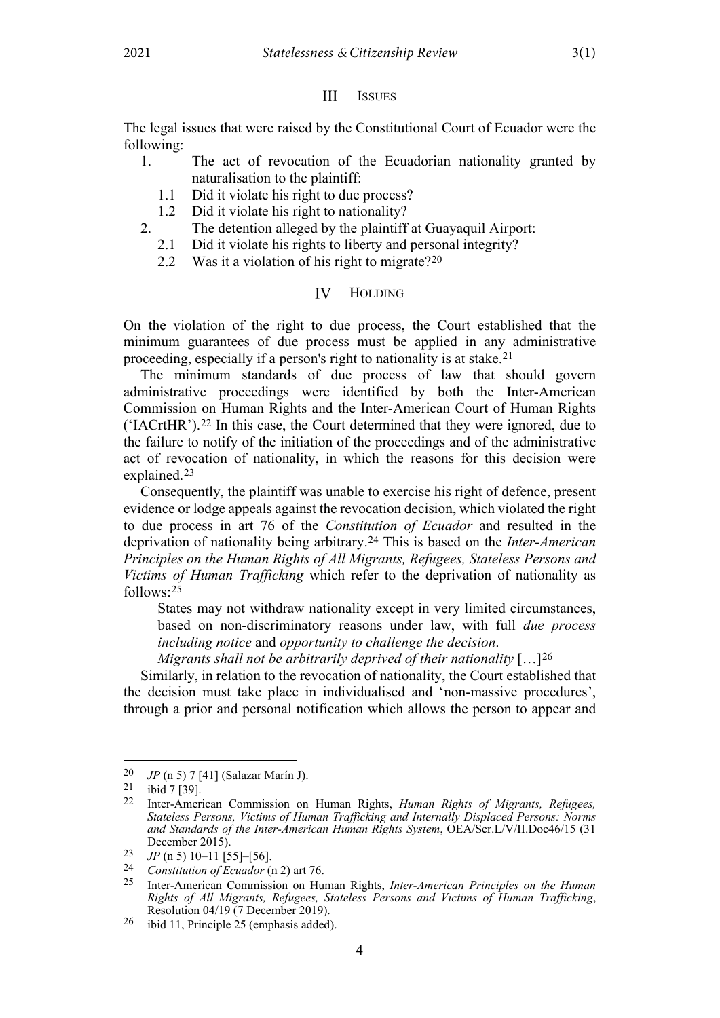#### $III$ **ISSUES**

<span id="page-3-0"></span>The legal issues that were raised by the Constitutional Court of Ecuador were the following:

- 1. The act of revocation of the Ecuadorian nationality granted by naturalisation to the plaintiff:
	- 1.1 Did it violate his right to due process?
- 1.2 Did it violate his right to nationality?
- 2. The detention alleged by the plaintiff at Guayaquil Airport:
	- 2.1 Did it violate his rights to liberty and personal integrity?
	- 2.2 Was it a violation of his right to migrate?<sup>[20](#page-3-2)</sup>

#### IV HOLDING

<span id="page-3-1"></span>On the violation of the right to due process, the Court established that the minimum guarantees of due process must be applied in any administrative proceeding, especially if a person's right to nationality is at stake.[21](#page-3-3)

The minimum standards of due process of law that should govern administrative proceedings were identified by both the Inter-American Commission on Human Rights and the Inter-American Court of Human Rights ('IACrtHR').[22](#page-3-4) In this case, the Court determined that they were ignored, due to the failure to notify of the initiation of the proceedings and of the administrative act of revocation of nationality, in which the reasons for this decision were explained.[23](#page-3-5)

Consequently, the plaintiff was unable to exercise his right of defence, present evidence or lodge appeals against the revocation decision, which violated the right to due process in art 76 of the *Constitution of Ecuador* and resulted in the deprivation of nationality being arbitrary.[24](#page-3-6) This is based on the *Inter-American Principles on the Human Rights of All Migrants, Refugees, Stateless Persons and Victims of Human Trafficking* which refer to the deprivation of nationality as  $follows.25$  $follows.25$ 

States may not withdraw nationality except in very limited circumstances, based on non-discriminatory reasons under law, with full *due process including notice* and *opportunity to challenge the decision*.

*Migrants shall not be arbitrarily deprived of their nationality* […][26](#page-3-8)

Similarly, in relation to the revocation of nationality, the Court established that the decision must take place in individualised and 'non-massive procedures', through a prior and personal notification which allows the person to appear and

<span id="page-3-2"></span><sup>20</sup> *JP* (n [5\)](#page-1-0) 7 [41] (Salazar Marín J).<br>21 **juni 7 [30]** 

<span id="page-3-4"></span><span id="page-3-3"></span> $\frac{21}{22}$  ibid 7 [39].

<sup>22</sup> Inter-American Commission on Human Rights, *Human Rights of Migrants, Refugees, Stateless Persons, Victims of Human Trafficking and Internally Displaced Persons: Norms and Standards of the Inter-American Human Rights System*, OEA/Ser.L/V/II.Doc46/15 (31 December 2015).

<span id="page-3-5"></span><sup>&</sup>lt;sup>23</sup> *JP* (n [5\)](#page-1-0) 10–11 [55]–[56].<br><sup>24</sup> Constitution of Equador (i)

<span id="page-3-7"></span><span id="page-3-6"></span><sup>24</sup> *Constitution of Ecuador* (n [2\)](#page-0-6) art 76.

<sup>25</sup> Inter-American Commission on Human Rights, *Inter-American Principles on the Human Rights of All Migrants, Refugees, Stateless Persons and Victims of Human Trafficking*, Resolution 04/19 (7 December 2019).

<span id="page-3-8"></span><sup>26</sup> ibid 11, Principle 25 (emphasis added).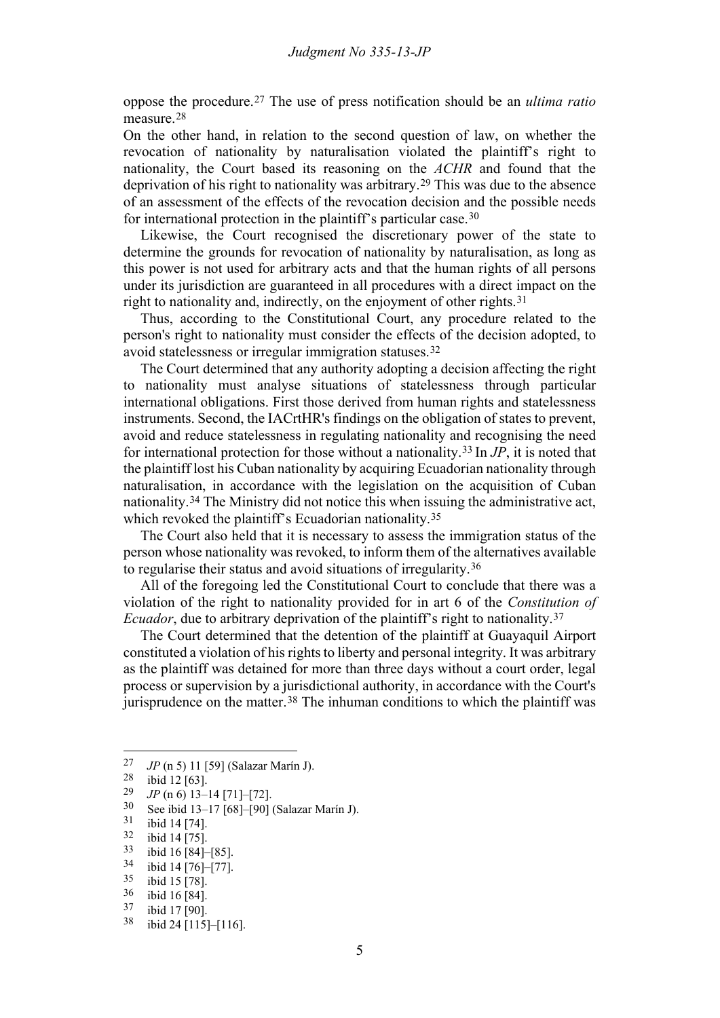oppose the procedure.[27](#page-4-0) The use of press notification should be an *ultima ratio* measure.[28](#page-4-1)

On the other hand, in relation to the second question of law, on whether the revocation of nationality by naturalisation violated the plaintiff's right to nationality, the Court based its reasoning on the *ACHR* and found that the deprivation of his right to nationality was arbitrary.[29](#page-4-2) This was due to the absence of an assessment of the effects of the revocation decision and the possible needs for international protection in the plaintiff's particular case.[30](#page-4-3)

Likewise, the Court recognised the discretionary power of the state to determine the grounds for revocation of nationality by naturalisation, as long as this power is not used for arbitrary acts and that the human rights of all persons under its jurisdiction are guaranteed in all procedures with a direct impact on the right to nationality and, indirectly, on the enjoyment of other rights.[31](#page-4-4)

Thus, according to the Constitutional Court, any procedure related to the person's right to nationality must consider the effects of the decision adopted, to avoid statelessness or irregular immigration statuses.[32](#page-4-5)

The Court determined that any authority adopting a decision affecting the right to nationality must analyse situations of statelessness through particular international obligations. First those derived from human rights and statelessness instruments. Second, the IACrtHR's findings on the obligation of states to prevent, avoid and reduce statelessness in regulating nationality and recognising the need for international protection for those without a nationality.[33](#page-4-6) In *JP*, it is noted that the plaintiff lost his Cuban nationality by acquiring Ecuadorian nationality through naturalisation, in accordance with the legislation on the acquisition of Cuban nationality.[34](#page-4-7) The Ministry did not notice this when issuing the administrative act, which revoked the plaintiff's Ecuadorian nationality.<sup>[35](#page-4-8)</sup>

The Court also held that it is necessary to assess the immigration status of the person whose nationality was revoked, to inform them of the alternatives available to regularise their status and avoid situations of irregularity.[36](#page-4-9)

All of the foregoing led the Constitutional Court to conclude that there was a violation of the right to nationality provided for in art 6 of the *Constitution of Ecuador*, due to arbitrary deprivation of the plaintiff's right to nationality.<sup>[37](#page-4-10)</sup>

The Court determined that the detention of the plaintiff at Guayaquil Airport constituted a violation of his rights to liberty and personal integrity. It was arbitrary as the plaintiff was detained for more than three days without a court order, legal process or supervision by a jurisdictional authority, in accordance with the Court's jurisprudence on the matter.<sup>[38](#page-4-11)</sup> The inhuman conditions to which the plaintiff was

<span id="page-4-0"></span><sup>&</sup>lt;sup>27</sup> *JP* (n [5\)](#page-1-0) 11 [59] (Salazar Marín J).

<span id="page-4-1"></span> $\frac{28}{29}$  ibid 12 [63].

<span id="page-4-3"></span><span id="page-4-2"></span> $\frac{29}{30}$  *JP* (n 6) 13–14 [71]–[72].

 $30$  See ibid 13–17 [68]–[90] (Salazar Marín J).<br> $31$  ibid 14 [74]

<span id="page-4-4"></span> $\frac{31}{32}$  ibid 14 [74].

<span id="page-4-5"></span>ibid 14 [75].

<span id="page-4-6"></span> $\frac{33}{34}$  ibid 16 [84]–[85].<br> $\frac{34}{34}$  ibid 14 [76]–[77]

<span id="page-4-7"></span> $\frac{34}{35}$  ibid 14 [76]–[77].

<span id="page-4-8"></span> $\frac{35}{36}$  ibid 15 [78].

<span id="page-4-9"></span> $\frac{36}{37}$  ibid 16 [84].

<span id="page-4-11"></span><span id="page-4-10"></span> $\frac{37}{38}$  ibid 17 [90].

ibid 24 [115]–[116].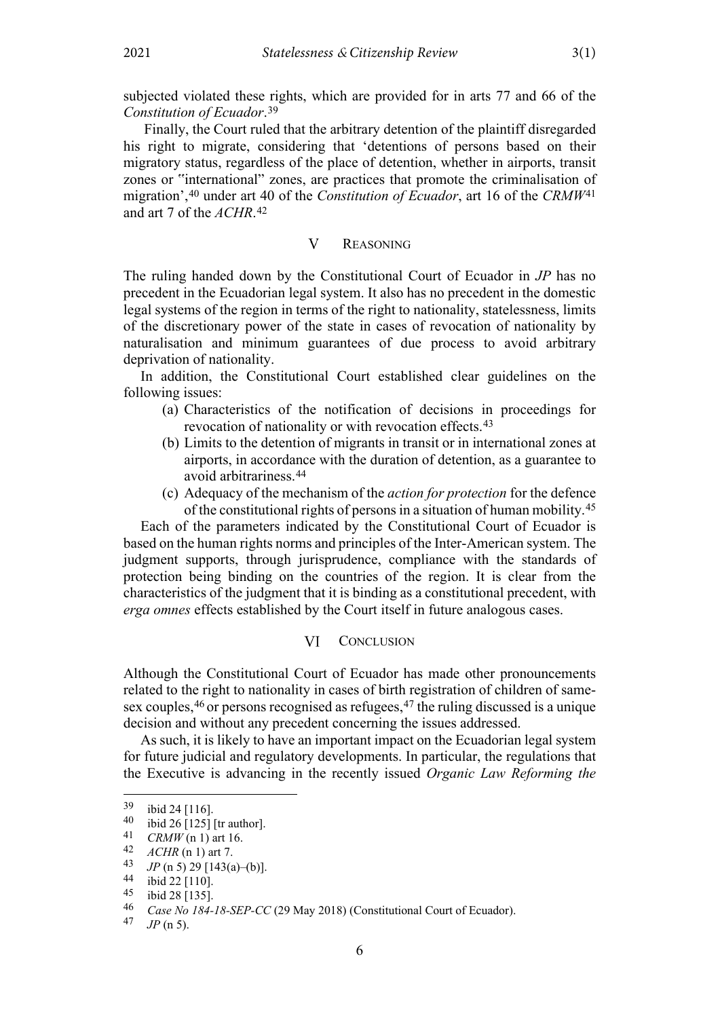subjected violated these rights, which are provided for in arts 77 and 66 of the *Constitution of Ecuador*.[39](#page-5-2)

Finally, the Court ruled that the arbitrary detention of the plaintiff disregarded his right to migrate, considering that 'detentions of persons based on their migratory status, regardless of the place of detention, whether in airports, transit zones or "international" zones, are practices that promote the criminalisation of migration',[40](#page-5-3) under art 40 of the *Constitution of Ecuador*, art 16 of the *CRMW*[41](#page-5-4) and art 7 of the *ACHR*.[42](#page-5-5)

#### $\mathbf{V}$ REASONING

<span id="page-5-0"></span>The ruling handed down by the Constitutional Court of Ecuador in *JP* has no precedent in the Ecuadorian legal system. It also has no precedent in the domestic legal systems of the region in terms of the right to nationality, statelessness, limits of the discretionary power of the state in cases of revocation of nationality by naturalisation and minimum guarantees of due process to avoid arbitrary deprivation of nationality.

In addition, the Constitutional Court established clear guidelines on the following issues:

- (a) Characteristics of the notification of decisions in proceedings for revocation of nationality or with revocation effects.<sup>[43](#page-5-6)</sup>
- (b) Limits to the detention of migrants in transit or in international zones at airports, in accordance with the duration of detention, as a guarantee to avoid arbitrariness.[44](#page-5-7)
- (c) Adequacy of the mechanism of the *action for protection* for the defence of the constitutional rights of persons in a situation of human mobility[.45](#page-5-8)

Each of the parameters indicated by the Constitutional Court of Ecuador is based on the human rights norms and principles of the Inter-American system. The judgment supports, through jurisprudence, compliance with the standards of protection being binding on the countries of the region. It is clear from the characteristics of the judgment that it is binding as a constitutional precedent, with *erga omnes* effects established by the Court itself in future analogous cases.

#### **CONCLUSION** VI

<span id="page-5-1"></span>Although the Constitutional Court of Ecuador has made other pronouncements related to the right to nationality in cases of birth registration of children of same-sex couples, <sup>[46](#page-5-9)</sup> or persons recognised as refugees, <sup>[47](#page-5-10)</sup> the ruling discussed is a unique decision and without any precedent concerning the issues addressed.

As such, it is likely to have an important impact on the Ecuadorian legal system for future judicial and regulatory developments. In particular, the regulations that the Executive is advancing in the recently issued *Organic Law Reforming the* 

<span id="page-5-2"></span> $\frac{39}{40}$  ibid 24 [116].

<span id="page-5-4"></span><span id="page-5-3"></span><sup>&</sup>lt;sup>40</sup> ibid 26 [125] [tr author].<br><sup>41</sup> *CRMW* (n 1) art 16

*CRMW* (n 1) art 16.

<span id="page-5-5"></span><sup>42</sup> *ACHR* (n 1) art 7.<br>43 *IP* (n 5) 29 [143(a

<span id="page-5-6"></span><sup>&</sup>lt;sup>43</sup> *JP* (n 5) 29 [143(a)–(b)].<br>44 **j**bid 22 [110]

<span id="page-5-7"></span> $^{44}$  ibid 22 [110].<br> $^{45}$  ibid 28 [135]

<span id="page-5-8"></span> $^{45}$  ibid 28 [135].<br>46 Case No 184

<span id="page-5-10"></span><span id="page-5-9"></span><sup>46</sup> *Case No 184-18-SEP-CC* (29 May 2018) (Constitutional Court of Ecuador).

<sup>47</sup> *JP* (n 5).